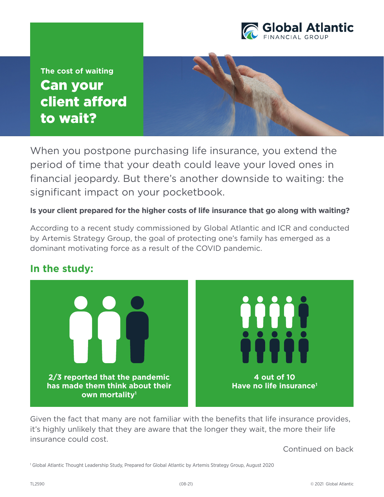

Can your client afford to wait? **The cost of waiting**

When you postpone purchasing life insurance, you extend the period of time that your death could leave your loved ones in financial jeopardy. But there's another downside to waiting: the significant impact on your pocketbook.

**Is your client prepared for the higher costs of life insurance that go along with waiting?**

According to a recent study commissioned by Global Atlantic and ICR and conducted by Artemis Strategy Group, the goal of protecting one's family has emerged as a dominant motivating force as a result of the COVID pandemic.

## **In the study:**



Given the fact that many are not familiar with the benefits that life insurance provides, it's highly unlikely that they are aware that the longer they wait, the more their life insurance could cost.

Continued on back

1 Global Atlantic Thought Leadership Study, Prepared for Global Atlantic by Artemis Strategy Group, August 2020